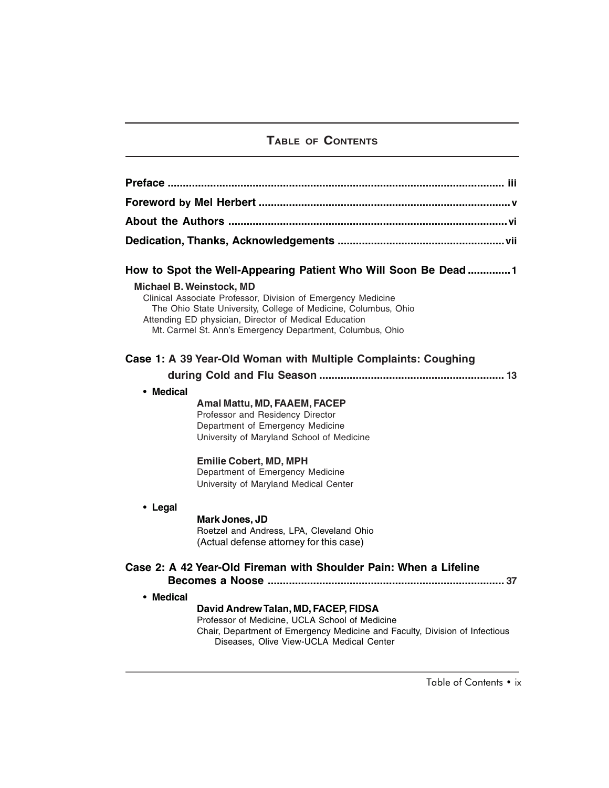# **TABLE OF CONTENTS**

| How to Spot the Well-Appearing Patient Who Will Soon Be Dead1                                                                                                                                                                                                                           |                                                                                                                                                                                                                   |
|-----------------------------------------------------------------------------------------------------------------------------------------------------------------------------------------------------------------------------------------------------------------------------------------|-------------------------------------------------------------------------------------------------------------------------------------------------------------------------------------------------------------------|
| <b>Michael B. Weinstock, MD</b><br>Clinical Associate Professor, Division of Emergency Medicine<br>The Ohio State University, College of Medicine, Columbus, Ohio<br>Attending ED physician, Director of Medical Education<br>Mt. Carmel St. Ann's Emergency Department, Columbus, Ohio |                                                                                                                                                                                                                   |
| Case 1: A 39 Year-Old Woman with Multiple Complaints: Coughing                                                                                                                                                                                                                          |                                                                                                                                                                                                                   |
|                                                                                                                                                                                                                                                                                         |                                                                                                                                                                                                                   |
| • Medical                                                                                                                                                                                                                                                                               | Amal Mattu, MD, FAAEM, FACEP<br>Professor and Residency Director<br>Department of Emergency Medicine<br>University of Maryland School of Medicine<br><b>Emilie Cobert, MD, MPH</b>                                |
|                                                                                                                                                                                                                                                                                         | Department of Emergency Medicine<br>University of Maryland Medical Center                                                                                                                                         |
| • Legal                                                                                                                                                                                                                                                                                 |                                                                                                                                                                                                                   |
|                                                                                                                                                                                                                                                                                         | Mark Jones, JD<br>Roetzel and Andress, LPA, Cleveland Ohio<br>(Actual defense attorney for this case)                                                                                                             |
| Case 2: A 42 Year-Old Fireman with Shoulder Pain: When a Lifeline                                                                                                                                                                                                                       |                                                                                                                                                                                                                   |
| • Medical                                                                                                                                                                                                                                                                               | David Andrew Talan, MD, FACEP, FIDSA<br>Professor of Medicine, UCLA School of Medicine<br>Chair, Department of Emergency Medicine and Faculty, Division of Infectious<br>Diseases, Olive View-UCLA Medical Center |

Table of Contents • ix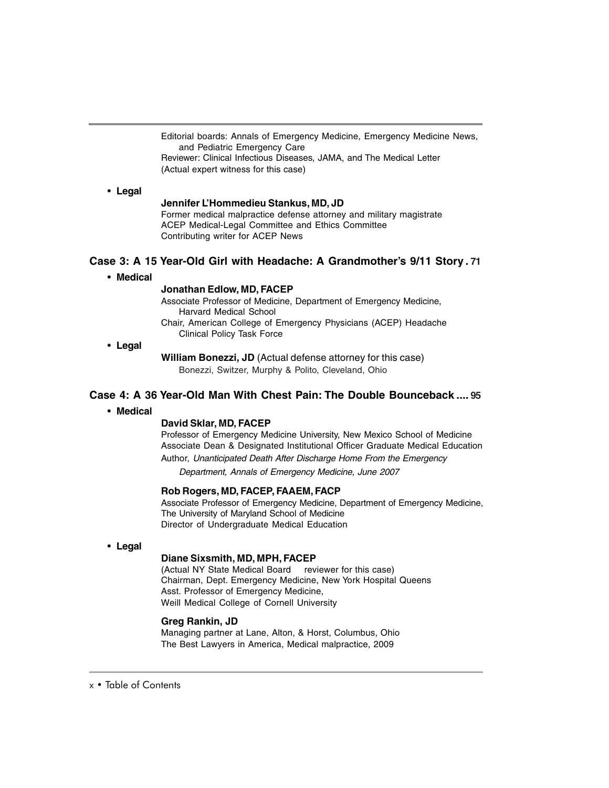Editorial boards: Annals of Emergency Medicine, Emergency Medicine News, and Pediatric Emergency Care

Reviewer: Clinical Infectious Diseases, JAMA, and The Medical Letter (Actual expert witness for this case)

# • **Legal**

### **Jennifer L'Hommedieu Stankus, MD, JD**

Former medical malpractice defense attorney and military magistrate ACEP Medical-Legal Committee and Ethics Committee Contributing writer for ACEP News

# **Case 3: A 15 Year-Old Girl with Headache: A Grandmother's 9/11 Story . 71**

• **Medical**

## **Jonathan Edlow, MD, FACEP**

Associate Professor of Medicine, Department of Emergency Medicine, Harvard Medical School Chair, American College of Emergency Physicians (ACEP) Headache

Clinical Policy Task Force

• **Legal**

**William Bonezzi, JD** (Actual defense attorney for this case) Bonezzi, Switzer, Murphy & Polito, Cleveland, Ohio

### **Case 4: A 36 Year-Old Man With Chest Pain: The Double Bounceback .... 95**

• **Medical**

### **David Sklar, MD, FACEP**

Professor of Emergency Medicine University, New Mexico School of Medicine Associate Dean & Designated Institutional Officer Graduate Medical Education Author, Unanticipated Death After Discharge Home From the Emergency

Department, Annals of Emergency Medicine, June 2007

### **Rob Rogers, MD, FACEP, FAAEM, FACP**

Associate Professor of Emergency Medicine, Department of Emergency Medicine, The University of Maryland School of Medicine Director of Undergraduate Medical Education

• **Legal**

# **Diane Sixsmith, MD, MPH, FACEP**

(Actual NY State Medical Board reviewer for this case) Chairman, Dept. Emergency Medicine, New York Hospital Queens Asst. Professor of Emergency Medicine, Weill Medical College of Cornell University

#### **Greg Rankin, JD**

Managing partner at Lane, Alton, & Horst, Columbus, Ohio The Best Lawyers in America, Medical malpractice, 2009

# x • Table of Contents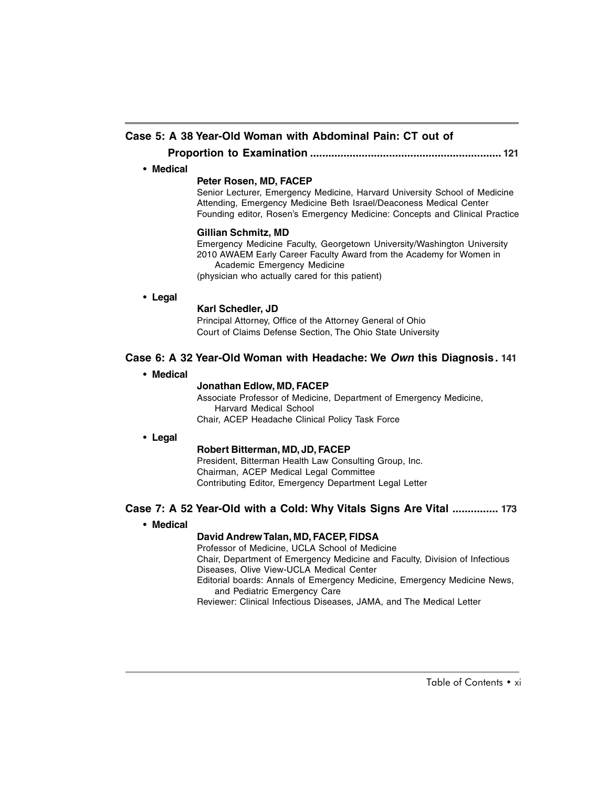# **Case 5: A 38 Year-Old Woman with Abdominal Pain: CT out of**

**Proportion to Examination ............................................................... 121**

#### • **Medical**

### **Peter Rosen, MD, FACEP**

Senior Lecturer, Emergency Medicine, Harvard University School of Medicine Attending, Emergency Medicine Beth Israel/Deaconess Medical Center Founding editor, Rosen's Emergency Medicine: Concepts and Clinical Practice

### **Gillian Schmitz, MD**

Emergency Medicine Faculty, Georgetown University/Washington University 2010 AWAEM Early Career Faculty Award from the Academy for Women in Academic Emergency Medicine

(physician who actually cared for this patient)

### • **Legal**

### **Karl Schedler, JD**

Principal Attorney, Office of the Attorney General of Ohio Court of Claims Defense Section, The Ohio State University

## **Case 6: A 32 Year-Old Woman with Headache: We Own this Diagnosis. 141**

• **Medical**

### **Jonathan Edlow, MD, FACEP**

Associate Professor of Medicine, Department of Emergency Medicine, Harvard Medical School Chair, ACEP Headache Clinical Policy Task Force

### • **Legal**

### **Robert Bitterman, MD, JD, FACEP**

President, Bitterman Health Law Consulting Group, Inc. Chairman, ACEP Medical Legal Committee Contributing Editor, Emergency Department Legal Letter

# **Case 7: A 52 Year-Old with a Cold: Why Vitals Signs Are Vital ............... 173**

### • **Medical**

# **David Andrew Talan, MD, FACEP, FIDSA**

Professor of Medicine, UCLA School of Medicine

Chair, Department of Emergency Medicine and Faculty, Division of Infectious Diseases, Olive View-UCLA Medical Center

Editorial boards: Annals of Emergency Medicine, Emergency Medicine News, and Pediatric Emergency Care

Reviewer: Clinical Infectious Diseases, JAMA, and The Medical Letter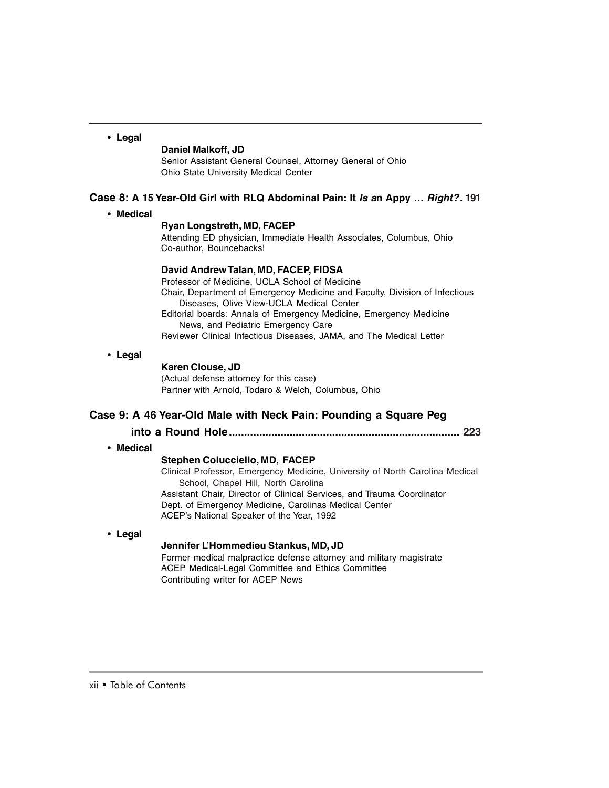# • **Legal**

#### **Daniel Malkoff, JD**

Senior Assistant General Counsel, Attorney General of Ohio Ohio State University Medical Center

## **Case 8: A 15 Year-Old Girl with RLQ Abdominal Pain: It Is an Appy … Right?. 191**

• **Medical**

# **Ryan Longstreth, MD, FACEP**

Attending ED physician, Immediate Health Associates, Columbus, Ohio Co-author, Bouncebacks!

#### **David Andrew Talan, MD, FACEP, FIDSA**

Professor of Medicine, UCLA School of Medicine Chair, Department of Emergency Medicine and Faculty, Division of Infectious Diseases, Olive View-UCLA Medical Center Editorial boards: Annals of Emergency Medicine, Emergency Medicine News, and Pediatric Emergency Care Reviewer Clinical Infectious Diseases, JAMA, and The Medical Letter

## • **Legal**

## **Karen Clouse, JD**

(Actual defense attorney for this case) Partner with Arnold, Todaro & Welch, Columbus, Ohio

## **Case 9: A 46 Year-Old Male with Neck Pain: Pounding a Square Peg**

**into a Round Hole............................................................................ 223**

### • **Medical**

# **Stephen Colucciello, MD, FACEP**

Clinical Professor, Emergency Medicine, University of North Carolina Medical School, Chapel Hill, North Carolina Assistant Chair, Director of Clinical Services, and Trauma Coordinator Dept. of Emergency Medicine, Carolinas Medical Center ACEP's National Speaker of the Year, 1992

# • **Legal**

#### **Jennifer L'Hommedieu Stankus, MD, JD**

Former medical malpractice defense attorney and military magistrate ACEP Medical-Legal Committee and Ethics Committee Contributing writer for ACEP News